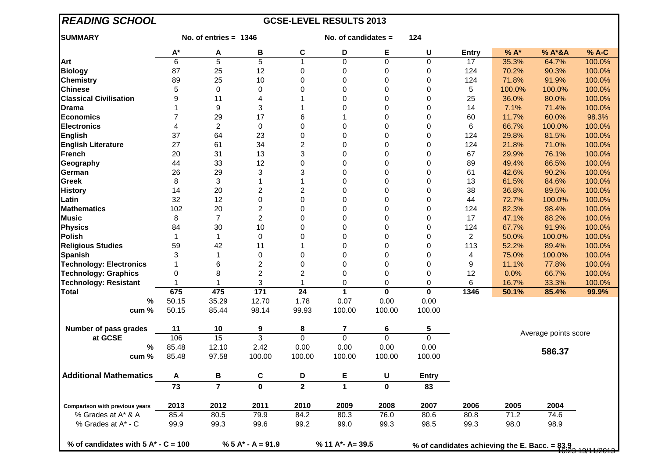| <b>READING SCHOOL</b><br><b>GCSE-LEVEL RESULTS 2013</b> |                         |                      |                  |                     |                  |                              |                              |                                               |                |                      |                 |  |
|---------------------------------------------------------|-------------------------|----------------------|------------------|---------------------|------------------|------------------------------|------------------------------|-----------------------------------------------|----------------|----------------------|-----------------|--|
| <b>SUMMARY</b>                                          | No. of entries $= 1346$ |                      |                  | No. of candidates = |                  |                              | 124                          |                                               |                |                      |                 |  |
|                                                         | $A^*$                   | A                    | В                | $\mathbf{C}$        | D                | E                            | U                            | <b>Entry</b>                                  | % A*           | % A*&A               | % A-C           |  |
| Art                                                     | $\overline{6}$          | $\overline{5}$       | $\overline{5}$   | 1                   | $\overline{0}$   | $\overline{0}$               | $\overline{0}$               | 17                                            | 35.3%          | 64.7%                | 100.0%          |  |
| <b>Biology</b>                                          | 87                      | 25                   | 12               | $\pmb{0}$           | 0                | 0                            | 0                            | 124                                           | 70.2%          | 90.3%                | 100.0%          |  |
| <b>Chemistry</b>                                        | 89                      | 25                   | 10               | 0                   | 0                | 0                            | $\mathbf 0$                  | 124                                           | 71.8%          | 91.9%                | 100.0%          |  |
| <b>Chinese</b>                                          | 5                       | 0                    | 0                | 0                   | 0                | 0                            | $\mathbf 0$                  | 5                                             | 100.0%         | 100.0%               | 100.0%          |  |
| <b>Classical Civilisation</b>                           | 9                       | 11                   | 4                |                     | 0                | 0                            | $\mathbf 0$                  | 25                                            | 36.0%          | 80.0%                | 100.0%          |  |
| <b>Drama</b>                                            | 1                       | 9                    | 3                | 1                   | 0                | 0                            | 0                            | 14                                            | 7.1%           | 71.4%                | 100.0%          |  |
| Economics                                               | 7                       | 29                   | 17               | 6                   |                  | 0                            | 0                            | 60                                            | 11.7%          | 60.0%                | 98.3%           |  |
| <b>Electronics</b>                                      | 4                       | $\overline{c}$       | 0                | 0                   | 0                | 0                            | 0                            | 6                                             | 66.7%          | 100.0%               | 100.0%          |  |
| <b>English</b>                                          | 37                      | 64                   | 23               | 0                   | 0                | 0                            | $\mathbf 0$                  | 124                                           | 29.8%          | 81.5%                | 100.0%          |  |
| <b>English Literature</b>                               | 27                      | 61                   | 34               | $\overline{c}$      | 0                | 0                            | $\mathbf 0$                  | 124                                           | 21.8%          | 71.0%                | 100.0%          |  |
| French                                                  | 20                      | 31                   | 13               | 3                   | 0                | 0                            | $\mathbf 0$                  | 67                                            | 29.9%          | 76.1%                | 100.0%          |  |
| Geography                                               | 44                      | 33                   | 12               | 0                   | 0                | 0                            | $\mathbf 0$                  | 89                                            | 49.4%          | 86.5%                | 100.0%          |  |
| German                                                  | 26                      | 29                   | 3                | 3                   | 0                | 0                            | 0                            | 61                                            | 42.6%          | 90.2%                | 100.0%          |  |
| Greek                                                   | 8                       | 3                    | $\mathbf 1$      | 1                   | 0                | 0                            | 0                            | 13                                            | 61.5%          | 84.6%                | 100.0%          |  |
| <b>History</b>                                          | 14                      | 20                   | $\overline{c}$   | 2                   | 0                | 0                            | 0                            | 38                                            | 36.8%          | 89.5%                | 100.0%          |  |
| Latin                                                   | 32                      | 12                   | $\mathsf 0$      | $\Omega$            | 0                | 0                            | 0                            | 44                                            | 72.7%          | 100.0%               | 100.0%          |  |
| <b>Mathematics</b>                                      | 102                     | 20                   | $\overline{c}$   | $\Omega$            | 0                | 0                            | $\Omega$                     | 124                                           | 82.3%          | 98.4%                | 100.0%          |  |
| <b>Music</b>                                            | 8                       | $\overline{7}$       | $\overline{c}$   | $\Omega$            | 0                | 0                            | 0                            | 17                                            | 47.1%          | 88.2%                | 100.0%          |  |
| <b>Physics</b>                                          | 84                      | 30                   | 10               | 0                   | 0                | 0                            | 0                            | 124                                           | 67.7%          | 91.9%                | 100.0%          |  |
| Polish                                                  | 1                       | 1                    | 0                | 0                   | 0                | 0                            | 0                            | $\overline{c}$                                | 50.0%          | 100.0%               | 100.0%          |  |
| <b>Religious Studies</b>                                | 59                      | 42                   | 11               | 1                   | 0                | 0                            | 0                            | 113                                           | 52.2%          | 89.4%                | 100.0%          |  |
| <b>Spanish</b>                                          | 3                       | 1                    | 0                | 0                   | 0                | 0                            | $\mathbf 0$                  | 4                                             | 75.0%          | 100.0%               | 100.0%          |  |
| <b>Technology: Electronics</b>                          |                         | 6                    | $\boldsymbol{2}$ | 0                   | 0                | 0                            | $\mathbf 0$                  | 9                                             | 11.1%          | 77.8%                | 100.0%          |  |
| <b>Technology: Graphics</b>                             | 0                       | 8                    | $\mathbf 2$      | $\mathbf 2$         | 0                | 0                            | $\mathbf 0$                  | 12                                            | 0.0%           | 66.7%                | 100.0%          |  |
|                                                         |                         |                      | 3                |                     |                  |                              |                              |                                               |                |                      |                 |  |
| <b>Technology: Resistant</b><br><b>Total</b>            | 675                     | 475                  | 171              | $\overline{24}$     | 0<br>1           | 0<br>$\overline{\mathbf{0}}$ | 0<br>$\overline{\mathbf{0}}$ | 6<br>1346                                     | 16.7%<br>50.1% | 33.3%<br>85.4%       | 100.0%<br>99.9% |  |
| $\%$                                                    | 50.15                   | 35.29                | 12.70            | 1.78                | 0.07             | 0.00                         | 0.00                         |                                               |                |                      |                 |  |
|                                                         |                         |                      |                  |                     |                  |                              |                              |                                               |                |                      |                 |  |
| cum%                                                    | 50.15                   | 85.44                | 98.14            | 99.93               | 100.00           | 100.00                       | 100.00                       |                                               |                |                      |                 |  |
| Number of pass grades                                   | 11                      | 10                   | 9                | 8                   | 7                | 6                            | 5                            |                                               |                |                      |                 |  |
| at GCSE                                                 | 106                     | $\overline{15}$      | $\overline{3}$   | 0                   | 0                | 0                            | $\overline{0}$               |                                               |                | Average points score |                 |  |
| %                                                       | 85.48                   | 12.10                | 2.42             | 0.00                | 0.00             | 0.00                         | 0.00                         |                                               |                |                      |                 |  |
| cum%                                                    | 85.48                   | 97.58                | 100.00           | 100.00              | 100.00           | 100.00                       | 100.00                       |                                               |                | 586.37               |                 |  |
| <b>Additional Mathematics</b>                           | Α                       | B                    | $\mathbf c$      | D                   | E                | U                            | <b>Entry</b>                 |                                               |                |                      |                 |  |
|                                                         | 73                      | $\overline{7}$       | $\mathbf{0}$     | $\mathbf{2}$        | $\mathbf{1}$     | $\mathbf{0}$                 | 83                           |                                               |                |                      |                 |  |
| Comparison with previous years                          | 2013                    | 2012                 | 2011             | 2010                | 2009             | 2008                         | 2007                         | 2006                                          | 2005           | 2004                 |                 |  |
| % Grades at A* & A                                      | 85.4                    | 80.5                 | 79.9             | 84.2                | 80.3             | 76.0                         | 80.6                         | 80.8                                          | 71.2           | 74.6                 |                 |  |
| % Grades at A* - C                                      |                         | 99.3                 | 99.6             | 99.2                | 99.0             | 99.3                         | 98.5                         | 99.3                                          | 98.0           | 98.9                 |                 |  |
|                                                         | 99.9                    |                      |                  |                     |                  |                              |                              |                                               |                |                      |                 |  |
| % of candidates with $5 A^* - C = 100$                  |                         | $% 5 A^* - A = 91.9$ |                  |                     | % 11 A*- A= 39.5 |                              |                              | % of candidates achieving the E. Bacc. = 83.9 |                |                      |                 |  |

16:23 19/11/2013